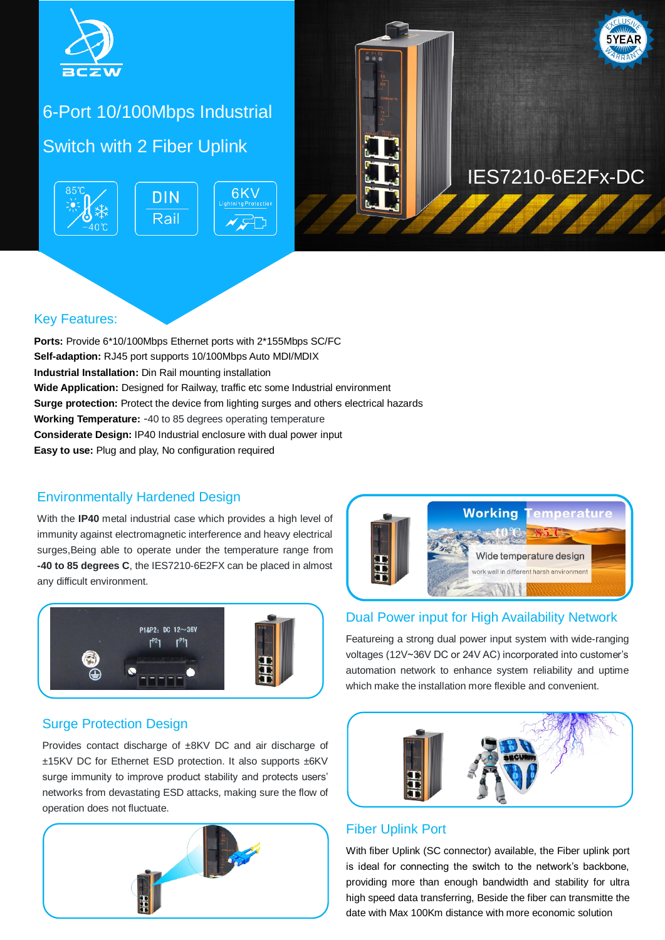

# 6-Port 10/100Mbps Industrial Switch with 2 Fiber Uplink





#### Key Features:

**Ports:** Provide 6\*10/100Mbps Ethernet ports with 2\*155Mbps SC/FC **Self-adaption:** RJ45 port supports 10/100Mbps Auto MDI/MDIX **Industrial Installation:** Din Rail mounting installation **Wide Application:** Designed for Railway, traffic etc some Industrial environment **Surge protection:** Protect the device from lighting surges and others electrical hazards **Working Temperature:** -40 to 85 degrees operating temperature **Considerate Design:** IP40 Industrial enclosure with dual power input **Easy to use:** Plug and play, No configuration required

#### Environmentally Hardened Design

With the **IP40** metal industrial case which provides a high level of immunity against electromagnetic interference and heavy electrical surges,Being able to operate under the temperature range from **-40 to 85 degrees C**, the IES7210-6E2FX can be placed in almost any difficult environment.



# **Working** Wide temperature design work well in different harsh environment  $\leq$

# Dual Power input for High Availability Network

Featureing a strong dual power input system with wide-ranging voltages (12V~36V DC or 24V AC) incorporated into customer's automation network to enhance system reliability and uptime which make the installation more flexible and convenient.

#### Surge Protection Design

Provides contact discharge of ±8KV DC and air discharge of ±15KV DC for Ethernet ESD protection. It also supports ±6KV surge immunity to improve product stability and protects users' networks from devastating ESD attacks, making sure the flow of operation does not fluctuate.





### Fiber Uplink Port

With fiber Uplink (SC connector) available, the Fiber uplink port is ideal for connecting the switch to the network's backbone, providing more than enough bandwidth and stability for ultra high speed data transferring, Beside the fiber can transmitte the date with Max 100Km distance with more economic solution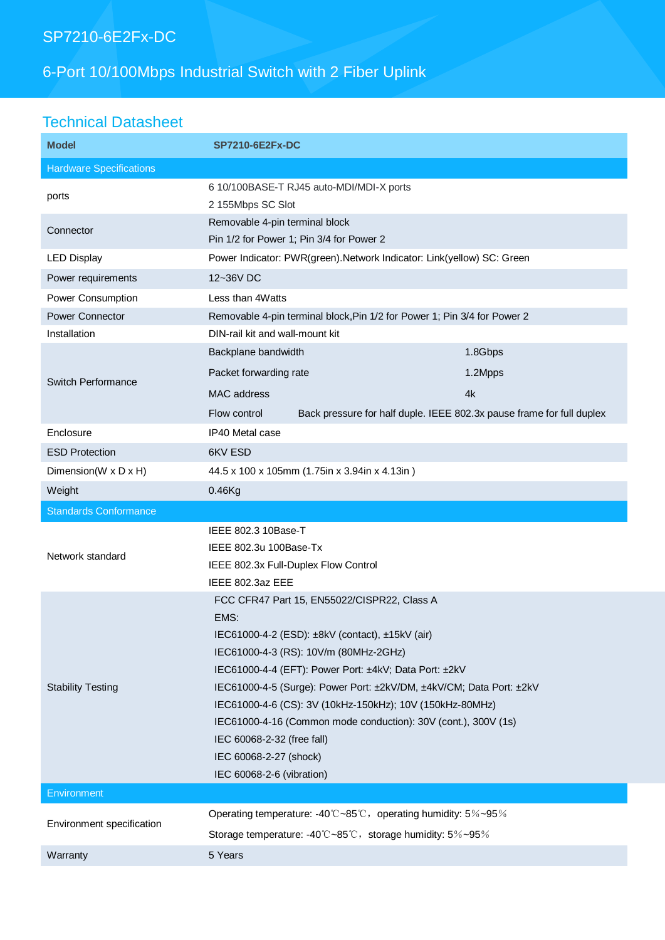# SP7210-6E2Fx-DC

# 6-Port 10/100Mbps Industrial Switch with 2 Fiber Uplink

# Technical Datasheet

| <b>Model</b>                   | <b>SP7210-6E2Fx-DC</b>                                                                |         |
|--------------------------------|---------------------------------------------------------------------------------------|---------|
| <b>Hardware Specifications</b> |                                                                                       |         |
| ports                          | 6 10/100BASE-T RJ45 auto-MDI/MDI-X ports<br>2 155Mbps SC Slot                         |         |
| Connector                      | Removable 4-pin terminal block<br>Pin 1/2 for Power 1; Pin 3/4 for Power 2            |         |
| <b>LED Display</b>             | Power Indicator: PWR(green). Network Indicator: Link(yellow) SC: Green                |         |
| Power requirements             | 12~36V DC                                                                             |         |
| Power Consumption              | Less than 4Watts                                                                      |         |
| <b>Power Connector</b>         | Removable 4-pin terminal block, Pin 1/2 for Power 1; Pin 3/4 for Power 2              |         |
| Installation                   | DIN-rail kit and wall-mount kit                                                       |         |
| <b>Switch Performance</b>      | Backplane bandwidth                                                                   | 1.8Gbps |
|                                | Packet forwarding rate                                                                | 1.2Mpps |
|                                | <b>MAC</b> address                                                                    | 4k      |
|                                | Flow control<br>Back pressure for half duple. IEEE 802.3x pause frame for full duplex |         |
| Enclosure                      | IP40 Metal case                                                                       |         |
| <b>ESD Protection</b>          | 6KV ESD                                                                               |         |
| Dimension(W x D x H)           | 44.5 x 100 x 105mm (1.75in x 3.94in x 4.13in)                                         |         |
| Weight                         | $0.46$ Kg                                                                             |         |
|                                |                                                                                       |         |
| <b>Standards Conformance</b>   |                                                                                       |         |
|                                | IEEE 802.3 10Base-T                                                                   |         |
|                                | IEEE 802.3u 100Base-Tx                                                                |         |
| Network standard               | IEEE 802.3x Full-Duplex Flow Control                                                  |         |
|                                | IEEE 802.3az EEE                                                                      |         |
|                                | FCC CFR47 Part 15, EN55022/CISPR22, Class A                                           |         |
|                                | EMS:                                                                                  |         |
|                                | IEC61000-4-2 (ESD): ±8kV (contact), ±15kV (air)                                       |         |
|                                | IEC61000-4-3 (RS): 10V/m (80MHz-2GHz)                                                 |         |
|                                | IEC61000-4-4 (EFT): Power Port: ±4kV; Data Port: ±2kV                                 |         |
| <b>Stability Testing</b>       | IEC61000-4-5 (Surge): Power Port: ±2kV/DM, ±4kV/CM; Data Port: ±2kV                   |         |
|                                | IEC61000-4-6 (CS): 3V (10kHz-150kHz); 10V (150kHz-80MHz)                              |         |
|                                | IEC61000-4-16 (Common mode conduction): 30V (cont.), 300V (1s)                        |         |
|                                | IEC 60068-2-32 (free fall)                                                            |         |
|                                | IEC 60068-2-27 (shock)                                                                |         |
| Environment                    | IEC 60068-2-6 (vibration)                                                             |         |
|                                | Operating temperature: -40°C~85°C, operating humidity: 5%~95%                         |         |
| Environment specification      | Storage temperature: -40°C~85°C, storage humidity: 5%~95%                             |         |
| Warranty                       | 5 Years                                                                               |         |